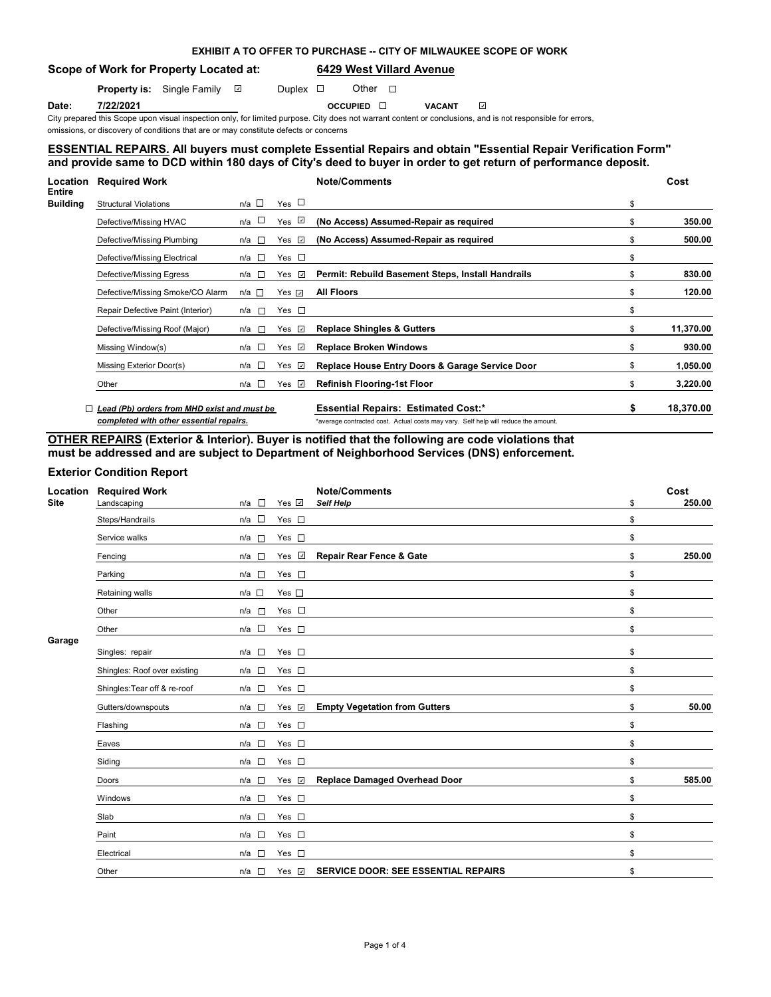|  | EXHIBIT A TO OFFER TO PURCHASE -- CITY OF MILWAUKEE SCOPE OF WORK |  |
|--|-------------------------------------------------------------------|--|
|--|-------------------------------------------------------------------|--|

**Scope of Work for Property Located at: 6429 West Villard Avenue**

**Property is:** Single Family  $\Box$  Duplex  $\Box$  Other  $\Box$ 

 $\mathbf{v}$ 

**Date: 7/22/2021 OCCUPIED VACANT**

City prepared this Scope upon visual inspection only, for limited purpose. City does not warrant content or conclusions, and is not responsible for errors, omissions, or discovery of conditions that are or may constitute defects or concerns

# **ESSENTIAL REPAIRS. All buyers must complete Essential Repairs and obtain "Essential Repair Verification Form" and provide same to DCD within 180 days of City's deed to buyer in order to get return of performance deposit.**

| Location                  | <b>Required Work</b>                        |                 |                      | <b>Note/Comments</b>                                                               |    | Cost      |
|---------------------------|---------------------------------------------|-----------------|----------------------|------------------------------------------------------------------------------------|----|-----------|
| Entire<br><b>Building</b> | <b>Structural Violations</b>                | $n/a$ $\square$ | Yes $\Box$           |                                                                                    | \$ |           |
|                           | Defective/Missing HVAC                      | n/a □           | Yes $\sqrt{2}$       | (No Access) Assumed-Repair as required                                             | Я  | 350.00    |
|                           | Defective/Missing Plumbing                  | $n/a$ $\Box$    | $\mathcal{A}$<br>Yes | (No Access) Assumed-Repair as required                                             | \$ | 500.00    |
|                           | Defective/Missing Electrical                | n/a □           | Yes $\square$        |                                                                                    | \$ |           |
|                           | Defective/Missing Egress                    | n/a □           | Yes $\sqrt{2}$       | Permit: Rebuild Basement Steps, Install Handrails                                  | S  | 830.00    |
|                           | Defective/Missing Smoke/CO Alarm            | n/a □           | Yes <i>√</i>         | <b>All Floors</b>                                                                  | S  | 120.00    |
|                           | Repair Defective Paint (Interior)           | n/a <b>□</b>    | Yes $\square$        |                                                                                    | \$ |           |
|                           | Defective/Missing Roof (Major)              | n/a l⊡          | Yes $\Box$           | <b>Replace Shingles &amp; Gutters</b>                                              | \$ | 11,370.00 |
|                           | Missing Window(s)                           | n/a □           | Yes $\sqrt{2}$       | <b>Replace Broken Windows</b>                                                      | \$ | 930.00    |
|                           | Missing Exterior Door(s)                    | n/a □           | Yes $\sqrt{2}$       | Replace House Entry Doors & Garage Service Door                                    | \$ | 1,050.00  |
|                           | Other                                       | n/a □           | Yes $\sqrt{2}$       | <b>Refinish Flooring-1st Floor</b>                                                 | \$ | 3,220.00  |
|                           | Lead (Pb) orders from MHD exist and must be |                 |                      | <b>Essential Repairs: Estimated Cost:*</b>                                         | \$ | 18,370.00 |
|                           | completed with other essential repairs.     |                 |                      | *average contracted cost. Actual costs may vary. Self help will reduce the amount. |    |           |

# **OTHER REPAIRS (Exterior & Interior). Buyer is notified that the following are code violations that must be addressed and are subject to Department of Neighborhood Services (DNS) enforcement.**

# **Exterior Condition Report**

| Location<br><b>Site</b> | <b>Required Work</b><br>Landscaping | n/a<br>$\sim$   | Yes V              | <b>Note/Comments</b><br>Self Help          | \$<br>Cost<br>250.00 |
|-------------------------|-------------------------------------|-----------------|--------------------|--------------------------------------------|----------------------|
|                         | Steps/Handrails                     | n/a $\square$   | Yes $\square$      |                                            | \$                   |
|                         | Service walks                       | n/a<br>$\Box$   | Yes $\square$      |                                            | \$                   |
|                         | Fencing                             | $n/a$ $\square$ | Yes $\sqrt{ }$     | <b>Repair Rear Fence &amp; Gate</b>        | \$<br>250.00         |
|                         | Parking                             | $n/a$ $\square$ | Yes $\square$      |                                            | \$                   |
|                         | Retaining walls                     | $n/a$ $\square$ | Yes $\square$      |                                            | \$                   |
|                         | Other                               | n/a<br>F        | Yes $\square$      |                                            | \$                   |
|                         | Other                               | $n/a$ $\square$ | Yes $\square$      |                                            | \$                   |
| Garage                  | Singles: repair                     | $n/a$ $\square$ | Yes $\square$      |                                            | \$                   |
|                         | Shingles: Roof over existing        | $n/a$ $\square$ | Yes $\square$      |                                            | \$                   |
|                         | Shingles: Tear off & re-roof        | $n/a$ $\square$ | Yes $\square$      |                                            | \$                   |
|                         | Gutters/downspouts                  | n/a □           | Yes $\overline{v}$ | <b>Empty Vegetation from Gutters</b>       | \$<br>50.00          |
|                         | Flashing                            | n/a             | Yes $\square$      |                                            | \$                   |
|                         | Eaves                               | $n/a$ $\square$ | Yes $\square$      |                                            | \$                   |
|                         | Siding                              | $n/a$ $\square$ | Yes $\square$      |                                            | \$                   |
|                         | Doors                               | $n/a$ $\square$ | Yes $\overline{v}$ | <b>Replace Damaged Overhead Door</b>       | \$<br>585.00         |
|                         | Windows                             | $n/a$ $\square$ | Yes $\square$      |                                            | \$                   |
|                         | Slab                                | $n/a$ $\square$ | Yes $\square$      |                                            | \$                   |
|                         | Paint                               | $n/a$ $\square$ | Yes $\square$      |                                            | \$                   |
|                         | Electrical                          | $n/a$ $\Box$    | Yes $\square$      |                                            | \$                   |
|                         | Other                               | $n/a$ $\square$ | Yes $\sqrt{ }$     | <b>SERVICE DOOR: SEE ESSENTIAL REPAIRS</b> | \$                   |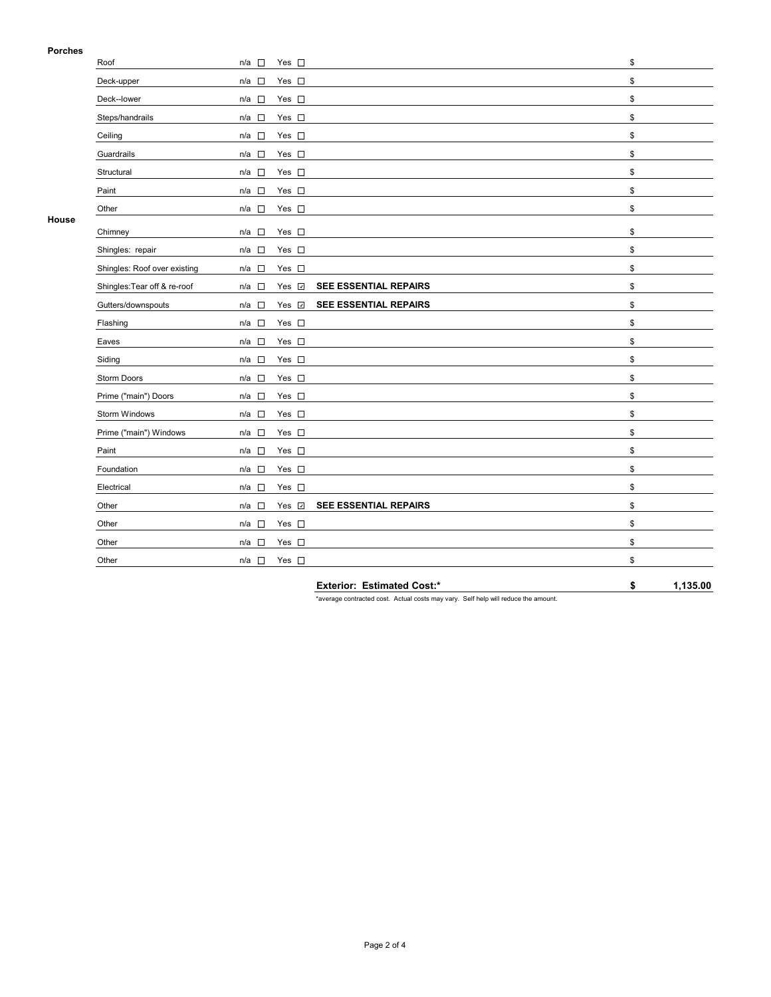# **Porches**

| гиинеэ |                              |                                                   |      |
|--------|------------------------------|---------------------------------------------------|------|
|        | Roof                         | Yes $\square$<br>$n/a$ $\square$                  | \$   |
|        | Deck-upper                   | Yes $\square$<br>$n/a$ $\square$                  | \$   |
|        | Deck--lower                  | Yes $\square$<br>$n/a$ $\square$                  | \$   |
|        | Steps/handrails              | Yes $\square$<br>$n/a$ $\square$                  | \$   |
|        | Ceiling                      | $n/a$ $\square$<br>Yes $\square$                  | \$   |
|        | Guardrails                   | Yes $\square$<br>$\sim$<br>n/a                    | \$   |
|        | Structural                   | Yes $\square$<br>$n/a$ $\square$                  | \$   |
|        | Paint                        | Yes $\square$<br>$n/a$ $\square$                  | \$   |
|        | Other                        | Yes $\square$<br>$n/a$ $\square$                  | \$   |
| House  | Chimney                      | Yes $\square$<br>$n/a$ $\square$                  | \$   |
|        | Shingles: repair             | Yes $\square$<br>$n/a$ $\square$                  | \$   |
|        | Shingles: Roof over existing | Yes $\square$<br>n/a                              | \$   |
|        | Shingles: Tear off & re-roof | SEE ESSENTIAL REPAIRS<br>Yes v<br>$n/a$ $\square$ | \$   |
|        | Gutters/downspouts           | SEE ESSENTIAL REPAIRS<br>Yes v<br>$n/a$ $\square$ | \$   |
|        | Flashing                     | Yes $\square$<br>$n/a$ $\square$                  | \$   |
|        | Eaves                        | Yes $\square$<br>$n/a$ $\square$                  | \$   |
|        | Siding                       | Yes $\square$<br>$n/a$ $\square$                  | \$   |
|        | Storm Doors                  | $n/a$ $\square$<br>Yes $\square$                  | $\$$ |
|        | Prime ("main") Doors         | $n/a$ $\square$<br>Yes $\square$                  | $\$$ |
|        | Storm Windows                | $n/a$ $\square$<br>Yes $\square$                  | \$   |
|        | Prime ("main") Windows       | $n/a$ $\square$<br>Yes $\square$                  | \$   |
|        | Paint                        | Yes $\square$<br>$n/a$ $\square$                  | \$   |
|        | Foundation                   | $n/a$ $\square$<br>Yes $\square$                  | \$   |
|        | Electrical                   | $\overline{\phantom{a}}$<br>Yes $\square$<br>n/a  | \$   |
|        | Other                        | SEE ESSENTIAL REPAIRS<br>Yes v<br>n/a             | \$   |
|        | Other                        | $n/a$ $\square$<br>Yes $\square$                  | \$   |
|        | Other                        | Yes $\square$<br>$n/a$ $\square$                  | \$   |
|        | Other                        | Yes $\square$<br>$n/a$ $\square$                  | \$   |
|        |                              |                                                   |      |

**Exterior: Estimated Cost:\* \$ 1,135.00**

\*average contracted cost. Actual costs may vary. Self help will reduce the amount.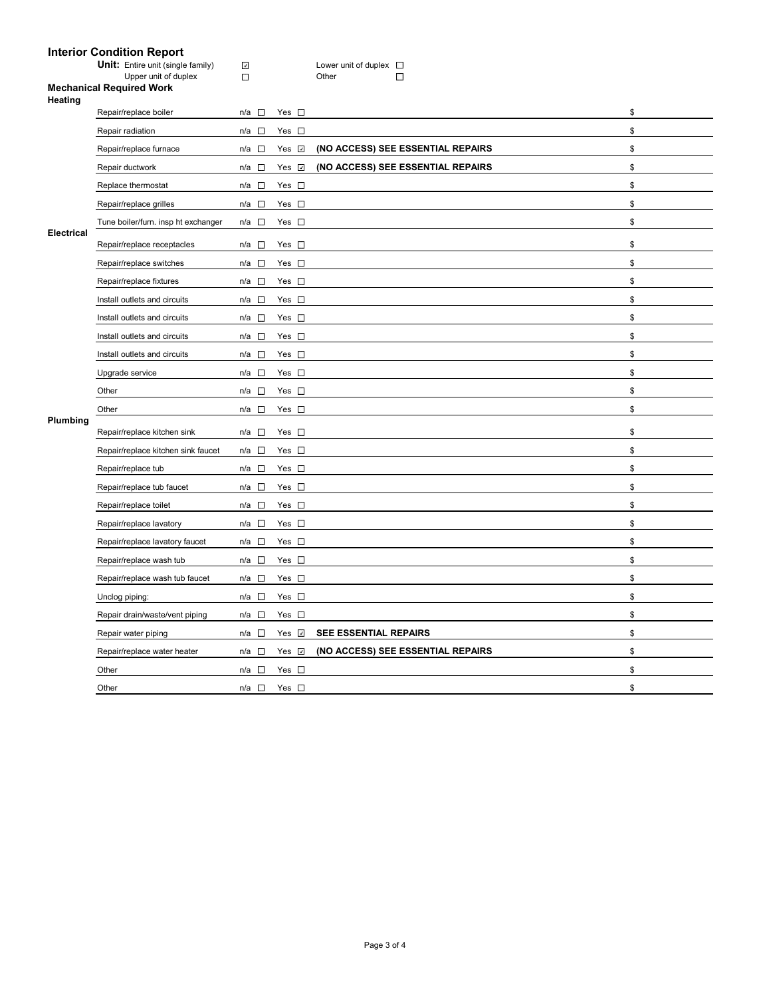## **Interior Condition Report**

**Unit:** Entire unit (single family) Lower unit of duplex

Upper unit of duplex Domeston Communication Communication Communication Communication Communication Communication Communication Communication Communication Communication Communication Communication Communication Communicat

#### **Mechanical Required Work Heating**

|                   | Repair/replace boiler               | $n/a$ $\square$                 | Yes $\square$      |                                   | \$ |
|-------------------|-------------------------------------|---------------------------------|--------------------|-----------------------------------|----|
|                   | Repair radiation                    | n/a □                           | Yes $\square$      |                                   | \$ |
|                   | Repair/replace furnace              | n/a $\square$                   | Yes $\overline{v}$ | (NO ACCESS) SEE ESSENTIAL REPAIRS | \$ |
|                   | Repair ductwork                     | n/a $\square$                   | Yes $\overline{v}$ | (NO ACCESS) SEE ESSENTIAL REPAIRS | \$ |
|                   | Replace thermostat                  | $n/a$ $\square$                 | Yes $\square$      |                                   | \$ |
|                   | Repair/replace grilles              | $n/a$ $\square$                 | Yes $\square$      |                                   | \$ |
|                   | Tune boiler/furn. insp ht exchanger | n/a $\square$                   | Yes $\square$      |                                   | \$ |
| <b>Electrical</b> | Repair/replace receptacles          | n/a □                           | Yes $\square$      |                                   | \$ |
|                   | Repair/replace switches             | n/a $\square$                   | Yes $\square$      |                                   | \$ |
|                   | Repair/replace fixtures             | $n/a$ $\square$                 | Yes $\square$      |                                   | \$ |
|                   | Install outlets and circuits        | $n/a$ $\square$                 | Yes $\square$      |                                   | \$ |
|                   | Install outlets and circuits        | $n/a$ $\square$                 | Yes $\square$      |                                   | \$ |
|                   | Install outlets and circuits        | $n/a$ $\Box$                    | Yes $\square$      |                                   | \$ |
|                   | Install outlets and circuits        | $n/a$ $\square$                 | Yes $\square$      |                                   | \$ |
|                   | Upgrade service                     | n/a $\square$                   | Yes $\square$      |                                   | \$ |
|                   | Other                               | $n/a$ $\square$                 | Yes $\square$      |                                   | \$ |
|                   | Other                               | $n/a$ $\square$                 | Yes $\square$      |                                   | \$ |
|                   |                                     |                                 |                    |                                   |    |
| Plumbing          | Repair/replace kitchen sink         | n/a □                           | Yes $\square$      |                                   | \$ |
|                   | Repair/replace kitchen sink faucet  | n/a<br>$\overline{\phantom{a}}$ | Yes $\square$      |                                   | \$ |
|                   | Repair/replace tub                  | n/a $\square$                   | Yes $\square$      |                                   | \$ |
|                   | Repair/replace tub faucet           | $n/a$ $\square$                 | Yes $\square$      |                                   | \$ |
|                   | Repair/replace toilet               | $n/a$ $\square$                 | Yes $\square$      |                                   | \$ |
|                   | Repair/replace lavatory             | n/a<br>$\sim$                   | Yes $\square$      |                                   | \$ |
|                   | Repair/replace lavatory faucet      | $n/a$ $\square$                 | Yes $\square$      |                                   | \$ |
|                   | Repair/replace wash tub             | $n/a$ $\square$                 | Yes $\square$      |                                   | \$ |
|                   | Repair/replace wash tub faucet      | n/a □                           | Yes $\square$      |                                   | \$ |
|                   | Unclog piping:                      | n/a $\square$                   | Yes $\square$      |                                   | \$ |
|                   | Repair drain/waste/vent piping      | $n/a$ $\square$                 | Yes $\square$      |                                   | \$ |
|                   | Repair water piping                 | $n/a$ $\square$                 | Yes $\overline{v}$ | SEE ESSENTIAL REPAIRS             | \$ |
|                   | Repair/replace water heater         | n/a $\square$                   | Yes <b>☑</b>       | (NO ACCESS) SEE ESSENTIAL REPAIRS | \$ |
|                   | Other                               | n/a $\square$                   | Yes $\square$      |                                   | \$ |